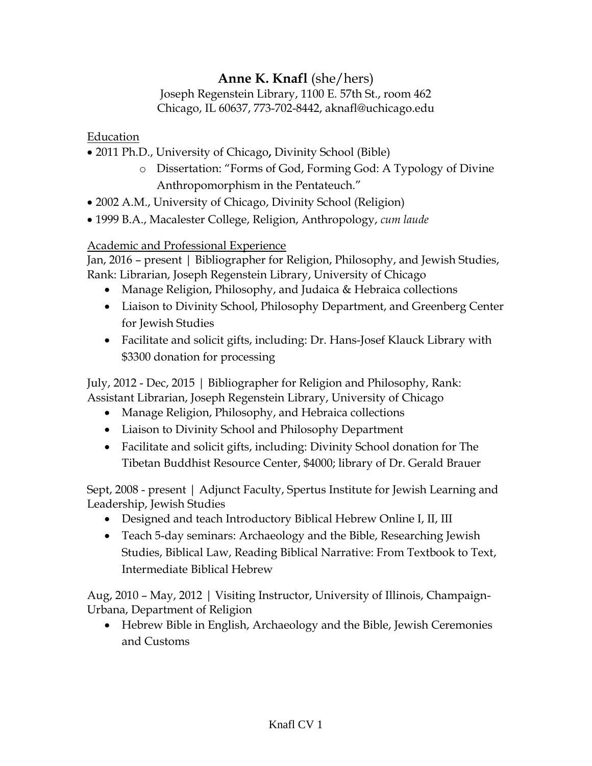# **Anne K. Knafl** (she/hers)

Joseph Regenstein Library, 1100 E. 57th St., room 462 Chicago, IL 60637, 773-702-8442, aknafl@uchicago.edu

Education

- 2011 Ph.D., University of Chicago**,** Divinity School (Bible)
	- o Dissertation: "Forms of God, Forming God: A Typology of Divine Anthropomorphism in the Pentateuch."
- 2002 A.M., University of Chicago, Divinity School (Religion)
- 1999 B.A., Macalester College, Religion, Anthropology, *cum laude*

#### Academic and Professional Experience

Jan, 2016 – present | Bibliographer for Religion, Philosophy, and Jewish Studies, Rank: Librarian, Joseph Regenstein Library, University of Chicago

- Manage Religion, Philosophy, and Judaica & Hebraica collections
- Liaison to Divinity School, Philosophy Department, and Greenberg Center for Jewish Studies
- Facilitate and solicit gifts, including: Dr. Hans-Josef Klauck Library with \$3300 donation for processing

July, 2012 - Dec, 2015 | Bibliographer for Religion and Philosophy, Rank: Assistant Librarian, Joseph Regenstein Library, University of Chicago

- Manage Religion, Philosophy, and Hebraica collections
- Liaison to Divinity School and Philosophy Department
- Facilitate and solicit gifts, including: Divinity School donation for The Tibetan Buddhist Resource Center, \$4000; library of Dr. Gerald Brauer

Sept, 2008 - present | Adjunct Faculty, Spertus Institute for Jewish Learning and Leadership, Jewish Studies

- Designed and teach Introductory Biblical Hebrew Online I, II, III
- Teach 5-day seminars: Archaeology and the Bible, Researching Jewish Studies, Biblical Law, Reading Biblical Narrative: From Textbook to Text, Intermediate Biblical Hebrew

Aug, 2010 – May, 2012 | Visiting Instructor, University of Illinois, Champaign-Urbana, Department of Religion

 Hebrew Bible in English, Archaeology and the Bible, Jewish Ceremonies and Customs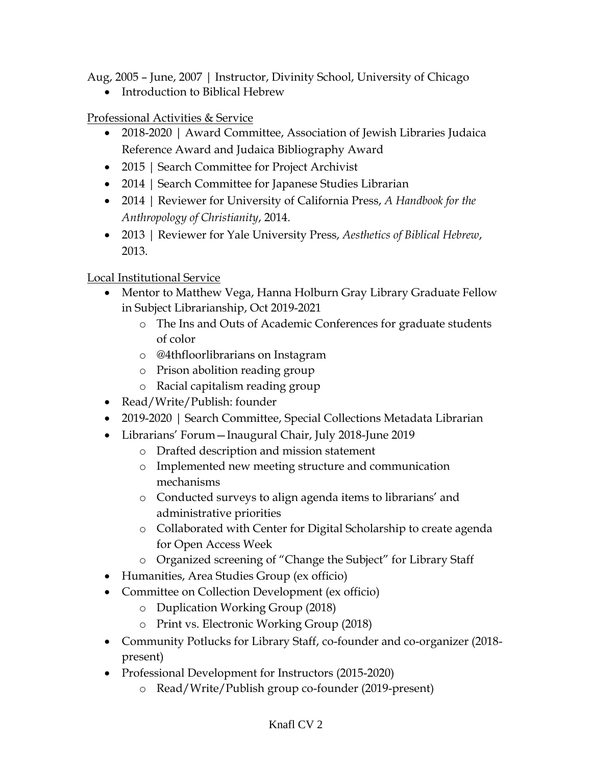Aug, 2005 – June, 2007 | Instructor, Divinity School, University of Chicago

• Introduction to Biblical Hebrew

Professional Activities & Service

- 2018-2020 | Award Committee, Association of Jewish Libraries Judaica Reference Award and Judaica Bibliography Award
- 2015 | Search Committee for Project Archivist
- 2014 | Search Committee for Japanese Studies Librarian
- 2014 | Reviewer for University of California Press, *A Handbook for the Anthropology of Christianity*, 2014.
- 2013 | Reviewer for Yale University Press, *Aesthetics of Biblical Hebrew*, 2013.

# Local Institutional Service

- Mentor to Matthew Vega, Hanna Holburn Gray Library Graduate Fellow in Subject Librarianship, Oct 2019-2021
	- o The Ins and Outs of Academic Conferences for graduate students of color
	- o @4thfloorlibrarians on Instagram
	- o Prison abolition reading group
	- o Racial capitalism reading group
- Read/Write/Publish: founder
- 2019-2020 | Search Committee, Special Collections Metadata Librarian
- Librarians' Forum—Inaugural Chair, July 2018-June 2019
	- o Drafted description and mission statement
	- o Implemented new meeting structure and communication mechanisms
	- o Conducted surveys to align agenda items to librarians' and administrative priorities
	- o Collaborated with Center for Digital Scholarship to create agenda for Open Access Week
	- o Organized screening of "Change the Subject" for Library Staff
- Humanities, Area Studies Group (ex officio)
- Committee on Collection Development (ex officio)
	- o Duplication Working Group (2018)
	- o Print vs. Electronic Working Group (2018)
- Community Potlucks for Library Staff, co-founder and co-organizer (2018 present)
- Professional Development for Instructors (2015-2020)
	- o Read/Write/Publish group co-founder (2019-present)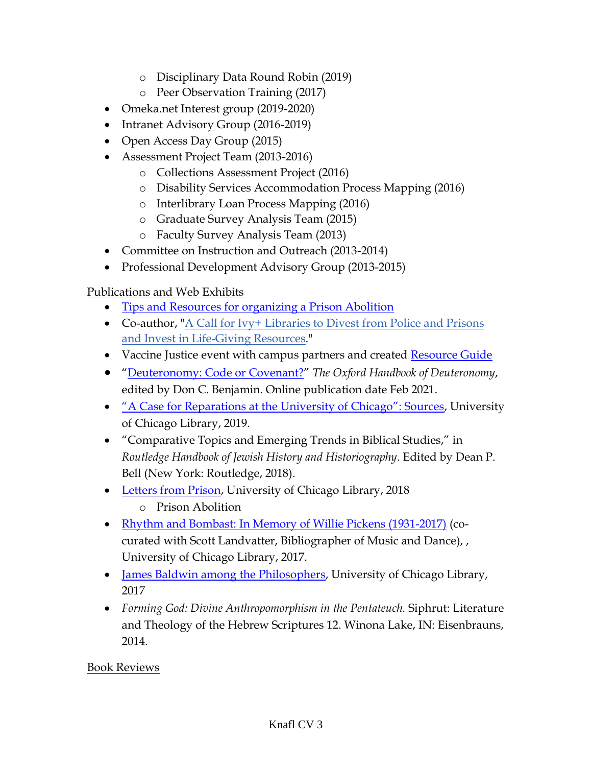- o Disciplinary Data Round Robin (2019)
- o Peer Observation Training (2017)
- Omeka.net Interest group (2019-2020)
- Intranet Advisory Group (2016-2019)
- Open Access Day Group (2015)
- Assessment Project Team (2013-2016)
	- o Collections Assessment Project (2016)
	- o Disability Services Accommodation Process Mapping (2016)
	- o Interlibrary Loan Process Mapping (2016)
	- o Graduate Survey Analysis Team (2015)
	- o Faculty Survey Analysis Team (2013)
- Committee on Instruction and Outreach (2013-2014)
- Professional Development Advisory Group (2013-2015)

# Publications and Web Exhibits

- [Tips and Resources for organizing a Prison Abolition](https://www.youtube.com/watch?v=tyB2BeAv3Tc)
- Co-author, ["A Call for Ivy+ Libraries to Divest from Police and Prisons](https://ablaivy.medium.com/a-call-for-ivy-libraries-to-divest-from-police-and-prisons-and-invest-in-life-giving-resources-fdd5889270df)  [and Invest in Life-Giving Resources.](https://ablaivy.medium.com/a-call-for-ivy-libraries-to-divest-from-police-and-prisons-and-invest-in-life-giving-resources-fdd5889270df)"
- Vaccine Justice event with campus partners and created [Resource Guide](https://docs.google.com/document/d/1oSO7xAguNWj2q1IXqyoT2f_y7Lz0-dEETIN1rsheQGE/edit?usp=sharing)
- "[Deuteronomy: Code or Covenant?](https://www-oxfordhandbooks-com.proxy.uchicago.edu/view/10.1093/oxfordhb/9780190273552.001.0001/oxfordhb-9780190273552-e-3)" *The Oxford Handbook of Deuteronomy*, edited by Don C. Benjamin. Online publication date Feb 2021.
- ["A Case for Reparations at the University of Chicago": Sources](https://www.lib.uchicago.edu/collex/exhibits/case-reparations-university-chicago-sources/), University of Chicago Library, 2019.
- "Comparative Topics and Emerging Trends in Biblical Studies," in *Routledge Handbook of Jewish History and Historiography*. Edited by Dean P. Bell (New York: Routledge, 2018).
- [Letters from Prison,](https://www.lib.uchicago.edu/collex/exhibits/letters-prison/) University of Chicago Library, 2018
	- o Prison Abolition
- [Rhythm and Bombast: In Memory of Willie Pickens \(1931-2017\)](https://www.lib.uchicago.edu/collex/exhibits/rhythm-and-bombast-memory-willie-pickens-1931-2017/) (cocurated with Scott Landvatter, Bibliographer of Music and Dance), , University of Chicago Library, 2017.
- [James Baldwin among the Philosophers,](https://www.lib.uchicago.edu/collex/exhibits/james-baldwin-among-philosophers/) University of Chicago Library, 2017
- *Forming God: Divine Anthropomorphism in the Pentateuch.* Siphrut: Literature and Theology of the Hebrew Scriptures 12. Winona Lake, IN: Eisenbrauns, 2014.

# Book Reviews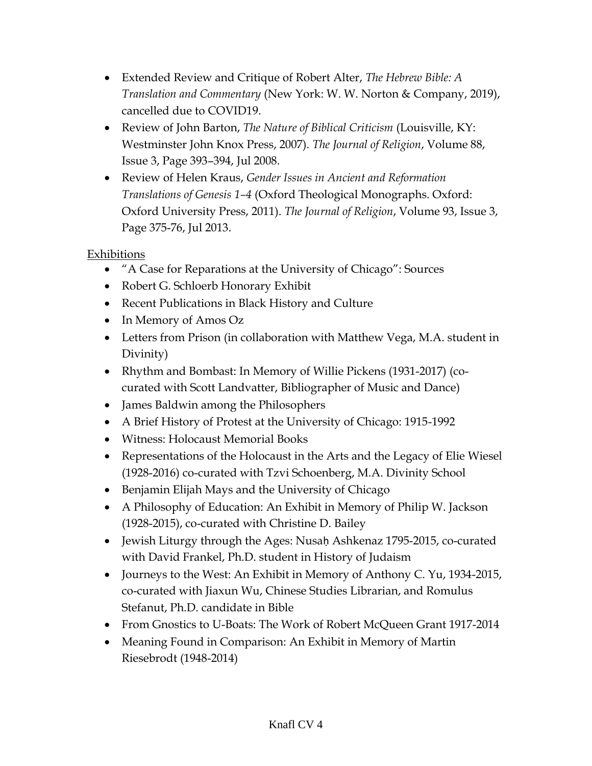- Extended Review and Critique of Robert Alter, *The Hebrew Bible: A Translation and Commentary* (New York: W. W. Norton & Company, 2019), cancelled due to COVID19.
- Review of John Barton, *The Nature of Biblical Criticism* (Louisville, KY: Westminster John Knox Press, 2007). *The Journal of Religion*, Volume 88, Issue 3, Page 393–394, Jul 2008.
- Review of Helen Kraus, *Gender Issues in Ancient and Reformation Translations of Genesis 1–4* (Oxford Theological Monographs. Oxford: Oxford University Press, 2011). *The Journal of Religion*, Volume 93, Issue 3, Page 375-76, Jul 2013.

Exhibitions

- "A Case for Reparations at the University of Chicago": Sources
- Robert G. Schloerb Honorary Exhibit
- Recent Publications in Black History and Culture
- In Memory of Amos Oz
- Letters from Prison (in collaboration with Matthew Vega, M.A. student in Divinity)
- Rhythm and Bombast: In Memory of Willie Pickens (1931-2017) (cocurated with Scott Landvatter, Bibliographer of Music and Dance)
- James Baldwin among the Philosophers
- A Brief History of Protest at the University of Chicago: 1915-1992
- Witness: Holocaust Memorial Books
- Representations of the Holocaust in the Arts and the Legacy of Elie Wiesel (1928-2016) co-curated with Tzvi Schoenberg, M.A. Divinity School
- Benjamin Elijah Mays and the University of Chicago
- A Philosophy of Education: An Exhibit in Memory of Philip W. Jackson (1928-2015), co-curated with Christine D. Bailey
- Jewish Liturgy through the Ages: Nusaḥ Ashkenaz 1795-2015, co-curated with David Frankel, Ph.D. student in History of Judaism
- Journeys to the West: An Exhibit in Memory of Anthony C. Yu, 1934-2015, co-curated with Jiaxun Wu, Chinese Studies Librarian, and Romulus Stefanut, Ph.D. candidate in Bible
- From Gnostics to U-Boats: The Work of Robert McQueen Grant 1917-2014
- Meaning Found in Comparison: An Exhibit in Memory of Martin Riesebrodt (1948-2014)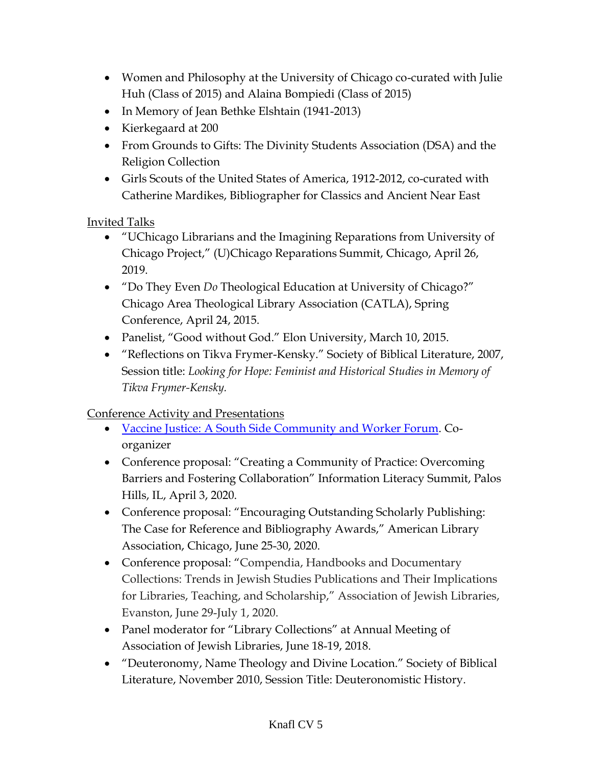- Women and Philosophy at the University of Chicago co-curated with Julie Huh (Class of 2015) and Alaina Bompiedi (Class of 2015)
- In Memory of Jean Bethke Elshtain (1941-2013)
- Kierkegaard at 200
- From Grounds to Gifts: The Divinity Students Association (DSA) and the Religion Collection
- Girls Scouts of the United States of America, 1912-2012, co-curated with Catherine Mardikes, Bibliographer for Classics and Ancient Near East

Invited Talks

- "UChicago Librarians and the Imagining Reparations from University of Chicago Project," (U)Chicago Reparations Summit, Chicago, April 26, 2019.
- "Do They Even *Do* Theological Education at University of Chicago?" Chicago Area Theological Library Association (CATLA), Spring Conference, April 24, 2015.
- Panelist, "Good without God." Elon University, March 10, 2015.
- "Reflections on Tikva Frymer-Kensky." Society of Biblical Literature, 2007, Session title: *Looking for Hope: Feminist and Historical Studies in Memory of Tikva Frymer-Kensky.*

Conference Activity and Presentations

- [Vaccine Justice: A South Side Community and Worker Forum.](https://www.facebook.com/watch/?v=1503758299966772) Coorganizer
- Conference proposal: "Creating a Community of Practice: Overcoming Barriers and Fostering Collaboration" Information Literacy Summit, Palos Hills, IL, April 3, 2020.
- Conference proposal: "Encouraging Outstanding Scholarly Publishing: The Case for Reference and Bibliography Awards," American Library Association, Chicago, June 25-30, 2020.
- Conference proposal: "Compendia, Handbooks and Documentary Collections: Trends in Jewish Studies Publications and Their Implications for Libraries, Teaching, and Scholarship," Association of Jewish Libraries, Evanston, June 29-July 1, 2020.
- Panel moderator for "Library Collections" at Annual Meeting of Association of Jewish Libraries, June 18-19, 2018.
- "Deuteronomy, Name Theology and Divine Location." Society of Biblical Literature, November 2010, Session Title: Deuteronomistic History.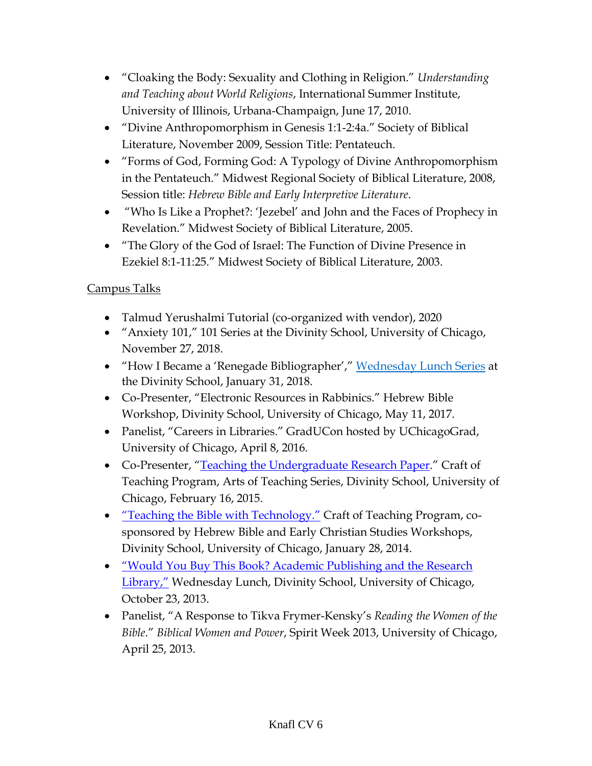- "Cloaking the Body: Sexuality and Clothing in Religion." *Understanding and Teaching about World Religions*, International Summer Institute, University of Illinois, Urbana-Champaign, June 17, 2010.
- "Divine Anthropomorphism in Genesis 1:1-2:4a." Society of Biblical Literature, November 2009, Session Title: Pentateuch.
- "Forms of God, Forming God: A Typology of Divine Anthropomorphism in the Pentateuch." Midwest Regional Society of Biblical Literature, 2008, Session title: *Hebrew Bible and Early Interpretive Literature*.
- "Who Is Like a Prophet?: 'Jezebel' and John and the Faces of Prophecy in Revelation." Midwest Society of Biblical Literature, 2005.
- "The Glory of the God of Israel: The Function of Divine Presence in Ezekiel 8:1-11:25." Midwest Society of Biblical Literature, 2003.

# Campus Talks

- Talmud Yerushalmi Tutorial (co-organized with vendor), 2020
- "Anxiety 101," 101 Series at the Divinity School, University of Chicago, November 27, 2018.
- "How I Became a 'Renegade Bibliographer'," [Wednesday Lunch](https://divinity.uchicago.edu/wednesday-lunch-archive) Series at the Divinity School, January 31, 2018.
- Co-Presenter, "Electronic Resources in Rabbinics." Hebrew Bible Workshop, Divinity School, University of Chicago, May 11, 2017.
- Panelist, "Careers in Libraries." GradUCon hosted by UChicagoGrad, University of Chicago, April 8, 2016.
- Co-Presenter, "[Teaching the Undergraduate Research Paper.](http://mindonline.uchicago.edu/media2/DIV/2015/DIV152147_MDR_20150216-CoT-Knafl-UCMP3.mp3)" Craft of Teaching Program, Arts of Teaching Series, Divinity School, University of Chicago, February 16, 2015.
- ["Teaching the Bible with Technology](http://divinity.uchicago.edu/craft-teaching-multimedia-library)." Craft of Teaching Program, cosponsored by Hebrew Bible and Early Christian Studies Workshops, Divinity School, University of Chicago, January 28, 2014.
- ["Would You Buy This Book? Academic Publishing and the Research](http://news.uchicago.edu/multimedia/wednesday-lunch-divinity-school-anne-knafl)  [Library,"](http://news.uchicago.edu/multimedia/wednesday-lunch-divinity-school-anne-knafl) Wednesday Lunch, Divinity School, University of Chicago, October 23, 2013.
- Panelist, "A Response to Tikva Frymer-Kensky's *Reading the Women of the Bible*." *Biblical Women and Power*, Spirit Week 2013, University of Chicago, April 25, 2013.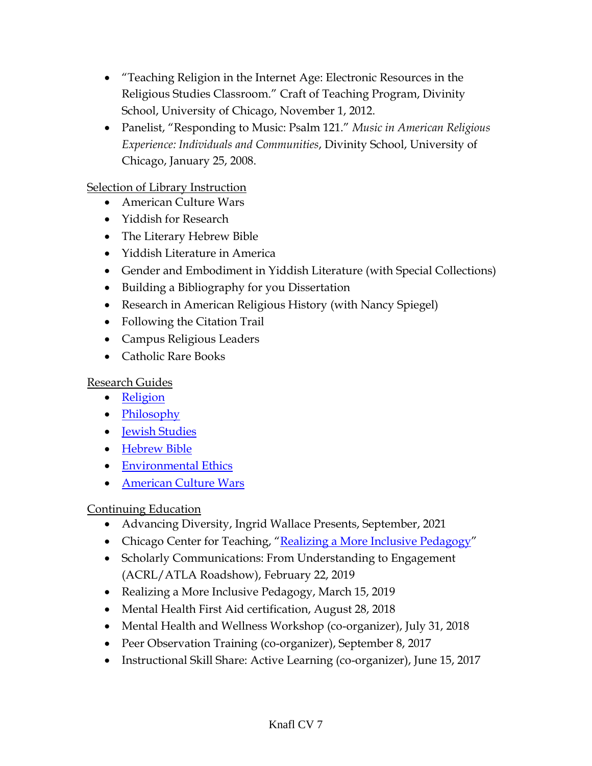- "Teaching Religion in the Internet Age: Electronic Resources in the Religious Studies Classroom." Craft of Teaching Program, Divinity School, University of Chicago, November 1, 2012.
- Panelist, "Responding to Music: Psalm 121." *Music in American Religious Experience: Individuals and Communities*, Divinity School, University of Chicago, January 25, 2008.

#### Selection of Library Instruction

- American Culture Wars
- Yiddish for Research
- The Literary Hebrew Bible
- Yiddish Literature in America
- Gender and Embodiment in Yiddish Literature (with Special Collections)
- Building a Bibliography for you Dissertation
- Research in American Religious History (with Nancy Spiegel)
- Following the Citation Trail
- Campus Religious Leaders
- Catholic Rare Books

### Research Guides

- [Religion](http://guides.lib.uchicago.edu/religion)
- [Philosophy](http://guides.lib.uchicago.edu/philosophy)
- [Jewish Studies](http://guides.lib.uchicago.edu/jewishstudies)
- [Hebrew Bible](http://guides.lib.uchicago.edu/c.php?g=297564)
- [Environmental Ethics](http://guides.lib.uchicago.edu/c.php?g=298257&p=2761774)
- [American Culture Wars](https://guides.lib.uchicago.edu/culturewars)

# Continuing Education

- Advancing Diversity, Ingrid Wallace Presents, September, 2021
- Chicago Center for Teaching, "[Realizing a More Inclusive Pedagogy](https://facultydevelopment.uchicago.edu/events/realizing-a-more-inclusive-pedagogy/)"
- Scholarly Communications: From Understanding to Engagement (ACRL/ATLA Roadshow), February 22, 2019
- Realizing a More Inclusive Pedagogy, March 15, 2019
- Mental Health First Aid certification, August 28, 2018
- Mental Health and Wellness Workshop (co-organizer), July 31, 2018
- Peer Observation Training (co-organizer), September 8, 2017
- Instructional Skill Share: Active Learning (co-organizer), June 15, 2017